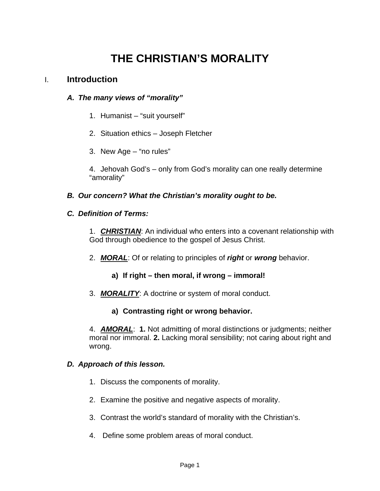# **THE CHRISTIAN'S MORALITY**

## I. **Introduction**

#### *A. The many views of "morality"*

- 1. Humanist "suit yourself"
- 2. Situation ethics Joseph Fletcher
- 3. New Age "no rules"

4. Jehovah God's – only from God's morality can one really determine "amorality"

#### *B. Our concern? What the Christian's morality ought to be.*

#### *C. Definition of Terms:*

1. *CHRISTIAN*: An individual who enters into a covenant relationship with God through obedience to the gospel of Jesus Christ.

- 2. *MORAL*: Of or relating to principles of *right* or *wrong* behavior.
	- **a) If right then moral, if wrong immoral!**
- 3. *MORALITY*: A doctrine or system of moral conduct.

### **a) Contrasting right or wrong behavior.**

4. *AMORAL*: **1.** Not admitting of moral distinctions or judgments; neither moral nor immoral. **2.** Lacking moral sensibility; not caring about right and wrong.

#### *D. Approach of this lesson.*

- 1. Discuss the components of morality.
- 2. Examine the positive and negative aspects of morality.
- 3. Contrast the world's standard of morality with the Christian's.
- 4. Define some problem areas of moral conduct.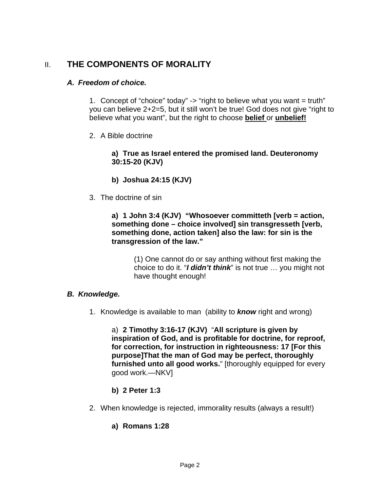# II. **THE COMPONENTS OF MORALITY**

#### *A. Freedom of choice.*

1. Concept of "choice" today"  $\rightarrow$  "right to believe what you want = truth" you can believe 2+2=5, but it still won't be true! God does not give "right to believe what you want", but the right to choose **belief** or **unbelief!**

2. A Bible doctrine

**a) True as Israel entered the promised land. Deuteronomy 30:15-20 (KJV)** 

- **b) Joshua 24:15 (KJV)**
- 3. The doctrine of sin

**a) 1 John 3:4 (KJV) "Whosoever committeth [verb = action, something done – choice involved] sin transgresseth [verb, something done, action taken] also the law: for sin is the transgression of the law."** 

> (1) One cannot do or say anthing without first making the choice to do it. "*I didn't think*" is not true … you might not have thought enough!

### *B. Knowledge.*

1. Knowledge is available to man (ability to *know* right and wrong)

a) **2 Timothy 3:16-17 (KJV)** "**All scripture is given by inspiration of God, and is profitable for doctrine, for reproof, for correction, for instruction in righteousness: 17 [For this purpose]That the man of God may be perfect, thoroughly furnished unto all good works.**" [thoroughly equipped for every good work.—NKV]

- **b) 2 Peter 1:3**
- 2. When knowledge is rejected, immorality results (always a result!)
	- **a) Romans 1:28**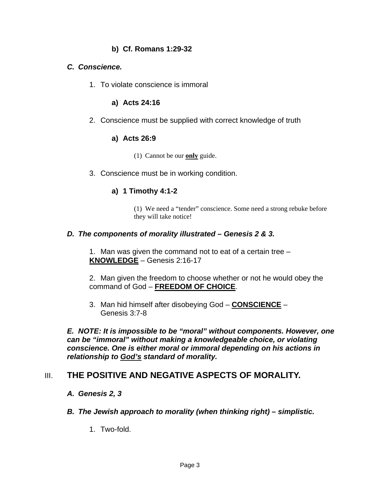### **b) Cf. Romans 1:29-32**

#### *C. Conscience.*

1. To violate conscience is immoral

#### **a) Acts 24:16**

2. Conscience must be supplied with correct knowledge of truth

#### **a) Acts 26:9**

- (1) Cannot be our **only** guide.
- 3. Conscience must be in working condition.

### **a) 1 Timothy 4:1-2**

(1) We need a "tender" conscience. Some need a strong rebuke before they will take notice!

#### *D. The components of morality illustrated – Genesis 2 & 3.*

1. Man was given the command not to eat of a certain tree – **KNOWLEDGE** – Genesis 2:16-17

2. Man given the freedom to choose whether or not he would obey the command of God – **FREEDOM OF CHOICE**.

3. Man hid himself after disobeying God – **CONSCIENCE** – Genesis 3:7-8

*E. NOTE: It is impossible to be "moral" without components. However, one can be "immoral" without making a knowledgeable choice, or violating conscience. One is either moral or immoral depending on his actions in relationship to God's standard of morality.* 

## **III. THE POSITIVE AND NEGATIVE ASPECTS OF MORALITY.**

- *A. Genesis 2, 3*
- *B. The Jewish approach to morality (when thinking right) simplistic.* 
	- 1. Two-fold.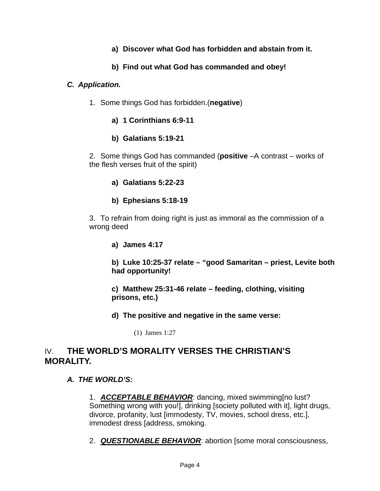- **a) Discover what God has forbidden and abstain from it.**
- **b) Find out what God has commanded and obey!**

#### *C. Application.*

- 1. Some things God has forbidden.(**negative**)
	- **a) 1 Corinthians 6:9-11**
	- **b) Galatians 5:19-21**

2. Some things God has commanded (**positive** –A contrast – works of the flesh verses fruit of the spirit)

- **a) Galatians 5:22-23**
- **b) Ephesians 5:18-19**

3. To refrain from doing right is just as immoral as the commission of a wrong deed

**a) James 4:17** 

**b) Luke 10:25-37 relate – "good Samaritan – priest, Levite both had opportunity!** 

**c) Matthew 25:31-46 relate – feeding, clothing, visiting prisons, etc.)** 

**d) The positive and negative in the same verse:** 

(1) James 1:27

## IV. **THE WORLD'S MORALITY VERSES THE CHRISTIAN'S MORALITY.**

### *A. THE WORLD'S:*

1. *ACCEPTABLE BEHAVIOR*: dancing, mixed swimming[no lust? Something wrong with you!], drinking [society polluted with it], light drugs, divorce, profanity, lust [immodesty, TV, movies, school dress, etc.], immodest dress [address, smoking.

2. *QUESTIONABLE BEHAVIOR*: abortion [some moral consciousness,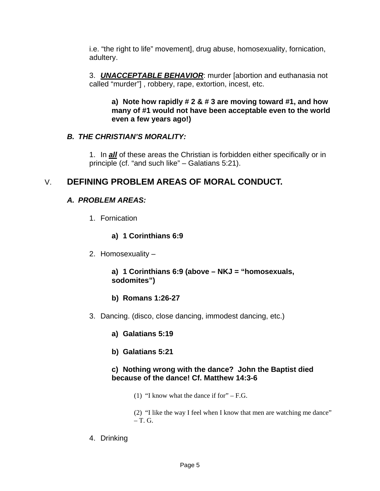i.e. "the right to life" movement], drug abuse, homosexuality, fornication, adultery.

3. *UNACCEPTABLE BEHAVIOR*: murder [abortion and euthanasia not called "murder"] , robbery, rape, extortion, incest, etc.

**a) Note how rapidly # 2 & # 3 are moving toward #1, and how many of #1 would not have been acceptable even to the world even a few years ago!)** 

## *B. THE CHRISTIAN'S MORALITY:*

1. In *all* of these areas the Christian is forbidden either specifically or in principle (cf. "and such like" – Galatians 5:21).

# V. **DEFINING PROBLEM AREAS OF MORAL CONDUCT.**

## *A. PROBLEM AREAS:*

1. Fornication

### **a) 1 Corinthians 6:9**

2. Homosexuality –

#### **a) 1 Corinthians 6:9 (above – NKJ = "homosexuals, sodomites")**

- **b) Romans 1:26-27**
- 3. Dancing. (disco, close dancing, immodest dancing, etc.)

### **a) Galatians 5:19**

**b) Galatians 5:21** 

#### **c) Nothing wrong with the dance? John the Baptist died because of the dance! Cf. Matthew 14:3-6**

(1) "I know what the dance if for" – F.G.

(2) "I like the way I feel when I know that men are watching me dance"  $-$  T. G.

4. Drinking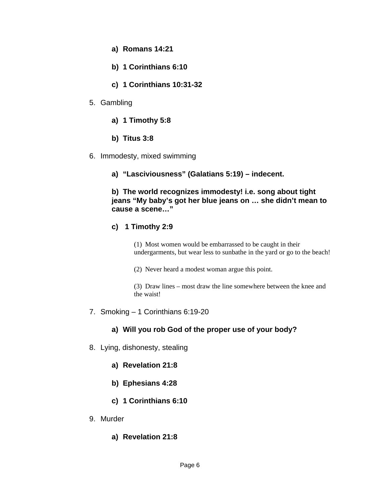- **a) Romans 14:21**
- **b) 1 Corinthians 6:10**
- **c) 1 Corinthians 10:31-32**
- 5. Gambling
	- **a) 1 Timothy 5:8**
	- **b) Titus 3:8**
- 6. Immodesty, mixed swimming
	- **a) "Lasciviousness" (Galatians 5:19) indecent.**

#### **b) The world recognizes immodesty! i.e. song about tight jeans "My baby's got her blue jeans on … she didn't mean to cause a scene…"**

#### **c) 1 Timothy 2:9**

(1) Most women would be embarrassed to be caught in their undergarments, but wear less to sunbathe in the yard or go to the beach!

(2) Never heard a modest woman argue this point.

(3) Draw lines – most draw the line somewhere between the knee and the waist!

7. Smoking – 1 Corinthians 6:19-20

### **a) Will you rob God of the proper use of your body?**

- 8. Lying, dishonesty, stealing
	- **a) Revelation 21:8**
	- **b) Ephesians 4:28**
	- **c) 1 Corinthians 6:10**
- 9. Murder
	- **a) Revelation 21:8**